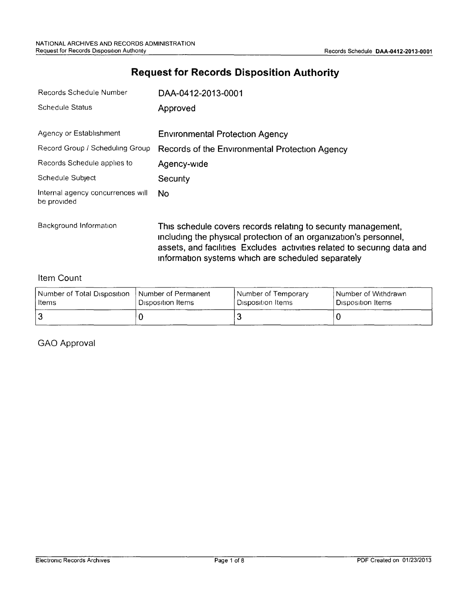## **Request for Records Disposition Authority**

| Records Schedule Number                          | DAA-0412-2013-0001                                                                                                                                                                                                                                                  |
|--------------------------------------------------|---------------------------------------------------------------------------------------------------------------------------------------------------------------------------------------------------------------------------------------------------------------------|
| <b>Schedule Status</b>                           | Approved                                                                                                                                                                                                                                                            |
| Agency or Establishment                          | <b>Environmental Protection Agency</b>                                                                                                                                                                                                                              |
| Record Group / Scheduling Group                  | Records of the Environmental Protection Agency                                                                                                                                                                                                                      |
| Records Schedule applies to                      | Agency-wide                                                                                                                                                                                                                                                         |
| Schedule Subject                                 | Security                                                                                                                                                                                                                                                            |
| Internal agency concurrences will<br>be provided | No.                                                                                                                                                                                                                                                                 |
| Background Information                           | This schedule covers records relating to security management,<br>including the physical protection of an organization's personnel,<br>assets, and facilities Excludes activities related to securing data and<br>information systems which are scheduled separately |

#### Item Count

| Number of Total Disposition_ | I Number of Permanent | l Number of Temporary          | l Number of Withdrawn. |
|------------------------------|-----------------------|--------------------------------|------------------------|
| Items                        | Disposition Items     | <sup>I</sup> Disposition Items | Disposition Items      |
|                              |                       |                                |                        |

GAO Approval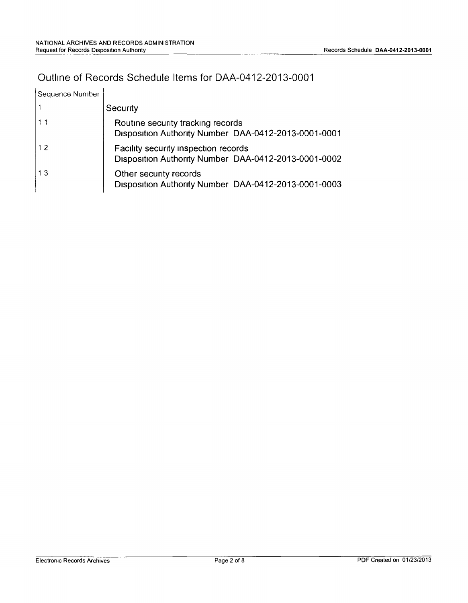#### Outline of Records Schedule Items for DAA-0412-2013-0001

| Sequence Number |                                                                                              |
|-----------------|----------------------------------------------------------------------------------------------|
|                 | Security                                                                                     |
| 11              | Routine security tracking records<br>Disposition Authority Number DAA-0412-2013-0001-0001    |
| 12              | Facility security inspection records<br>Disposition Authority Number DAA-0412-2013-0001-0002 |
| 13              | Other security records<br>Disposition Authority Number DAA-0412-2013-0001-0003               |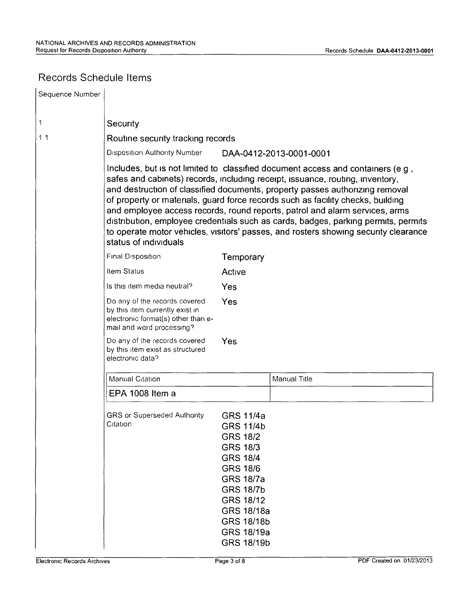# Records Schedule Items

| Sequence Number |                                                                                                                                                                                                                                                                                                                                                                                                                                                                                                                                                                                                                          |                                                                                                                                                                                                                                             |                         |  |
|-----------------|--------------------------------------------------------------------------------------------------------------------------------------------------------------------------------------------------------------------------------------------------------------------------------------------------------------------------------------------------------------------------------------------------------------------------------------------------------------------------------------------------------------------------------------------------------------------------------------------------------------------------|---------------------------------------------------------------------------------------------------------------------------------------------------------------------------------------------------------------------------------------------|-------------------------|--|
| 1               | Security                                                                                                                                                                                                                                                                                                                                                                                                                                                                                                                                                                                                                 |                                                                                                                                                                                                                                             |                         |  |
| 11              | Routine security tracking records                                                                                                                                                                                                                                                                                                                                                                                                                                                                                                                                                                                        |                                                                                                                                                                                                                                             |                         |  |
|                 | <b>Disposition Authority Number</b>                                                                                                                                                                                                                                                                                                                                                                                                                                                                                                                                                                                      |                                                                                                                                                                                                                                             | DAA-0412-2013-0001-0001 |  |
|                 | Includes, but is not limited to classified document access and containers (e g,<br>safes and cabinets) records, including receipt, issuance, routing, inventory,<br>and destruction of classified documents, property passes authorizing removal<br>of property or materials, guard force records such as facility checks, building<br>and employee access records, round reports, patrol and alarm services, arms<br>distribution, employee credentials such as cards, badges, parking permits, permits<br>to operate motor vehicles, visitors' passes, and rosters showing security clearance<br>status of individuals |                                                                                                                                                                                                                                             |                         |  |
|                 | Final Disposition                                                                                                                                                                                                                                                                                                                                                                                                                                                                                                                                                                                                        | Temporary                                                                                                                                                                                                                                   |                         |  |
|                 | Item Status                                                                                                                                                                                                                                                                                                                                                                                                                                                                                                                                                                                                              | Active                                                                                                                                                                                                                                      |                         |  |
|                 | Is this item media neutral?                                                                                                                                                                                                                                                                                                                                                                                                                                                                                                                                                                                              | Yes                                                                                                                                                                                                                                         |                         |  |
|                 | Do any of the records covered<br>by this item currently exist in<br>electronic format(s) other than e-<br>mail and word processing?                                                                                                                                                                                                                                                                                                                                                                                                                                                                                      | Yes                                                                                                                                                                                                                                         |                         |  |
|                 | Do any of the records covered<br>by this item exist as structured<br>electronic data?                                                                                                                                                                                                                                                                                                                                                                                                                                                                                                                                    | Yes                                                                                                                                                                                                                                         |                         |  |
|                 | Manual Citation                                                                                                                                                                                                                                                                                                                                                                                                                                                                                                                                                                                                          |                                                                                                                                                                                                                                             | Manual Title            |  |
|                 | EPA 1008 Item a                                                                                                                                                                                                                                                                                                                                                                                                                                                                                                                                                                                                          |                                                                                                                                                                                                                                             |                         |  |
|                 | <b>GRS or Superseded Authority</b><br>Citation                                                                                                                                                                                                                                                                                                                                                                                                                                                                                                                                                                           | <b>GRS 11/4a</b><br><b>GRS 11/4b</b><br><b>GRS 18/2</b><br><b>GRS 18/3</b><br><b>GRS 18/4</b><br><b>GRS 18/6</b><br><b>GRS 18/7a</b><br><b>GRS 18/7b</b><br><b>GRS 18/12</b><br>GRS 18/18a<br>GRS 18/18b<br>GRS 18/19a<br><b>GRS 18/19b</b> |                         |  |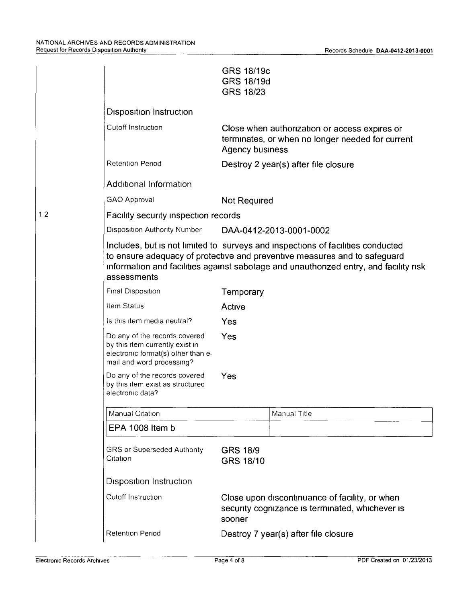|    |                                                                                                                                                                                                                                                                      | GRS 18/19c<br>GRS 18/19d<br>GRS 18/23 |                                                                                                   |  |  |
|----|----------------------------------------------------------------------------------------------------------------------------------------------------------------------------------------------------------------------------------------------------------------------|---------------------------------------|---------------------------------------------------------------------------------------------------|--|--|
|    | <b>Disposition Instruction</b>                                                                                                                                                                                                                                       |                                       |                                                                                                   |  |  |
|    | Cutoff Instruction                                                                                                                                                                                                                                                   | Agency business                       | Close when authorization or access expires or<br>terminates, or when no longer needed for current |  |  |
|    | Retention Period                                                                                                                                                                                                                                                     |                                       | Destroy 2 year(s) after file closure                                                              |  |  |
|    | Additional Information                                                                                                                                                                                                                                               |                                       |                                                                                                   |  |  |
|    | GAO Approval                                                                                                                                                                                                                                                         | Not Required                          |                                                                                                   |  |  |
| 12 | Facility security inspection records                                                                                                                                                                                                                                 |                                       |                                                                                                   |  |  |
|    | <b>Disposition Authority Number</b>                                                                                                                                                                                                                                  |                                       | DAA-0412-2013-0001-0002                                                                           |  |  |
|    | Includes, but is not limited to surveys and inspections of facilities conducted<br>to ensure adequacy of protective and preventive measures and to safeguard<br>information and facilities against sabotage and unauthorized entry, and facility risk<br>assessments |                                       |                                                                                                   |  |  |
|    | Final Disposition                                                                                                                                                                                                                                                    | Temporary                             |                                                                                                   |  |  |
|    | Item Status                                                                                                                                                                                                                                                          | Active                                |                                                                                                   |  |  |
|    | is this item media neutral?                                                                                                                                                                                                                                          | Yes                                   |                                                                                                   |  |  |
|    | Do any of the records covered<br>by this item currently exist in<br>electronic format(s) other than e-<br>mail and word processing?                                                                                                                                  | Yes                                   |                                                                                                   |  |  |
|    | Do any of the records covered<br>by this item exist as structured<br>electronic data?                                                                                                                                                                                | Yes                                   |                                                                                                   |  |  |
|    | Manual Citation                                                                                                                                                                                                                                                      |                                       | Manual Title                                                                                      |  |  |
|    | EPA 1008 Item b                                                                                                                                                                                                                                                      |                                       |                                                                                                   |  |  |
|    | <b>GRS or Superseded Authority</b><br>Citation                                                                                                                                                                                                                       | <b>GRS 18/9</b><br>GRS 18/10          |                                                                                                   |  |  |
|    | <b>Disposition Instruction</b>                                                                                                                                                                                                                                       |                                       |                                                                                                   |  |  |
|    | Cutoff Instruction                                                                                                                                                                                                                                                   | sooner                                | Close upon discontinuance of facility, or when<br>security cognizance is terminated, whichever is |  |  |
|    | <b>Retention Period</b>                                                                                                                                                                                                                                              |                                       | Destroy 7 year(s) after file closure                                                              |  |  |
|    |                                                                                                                                                                                                                                                                      |                                       |                                                                                                   |  |  |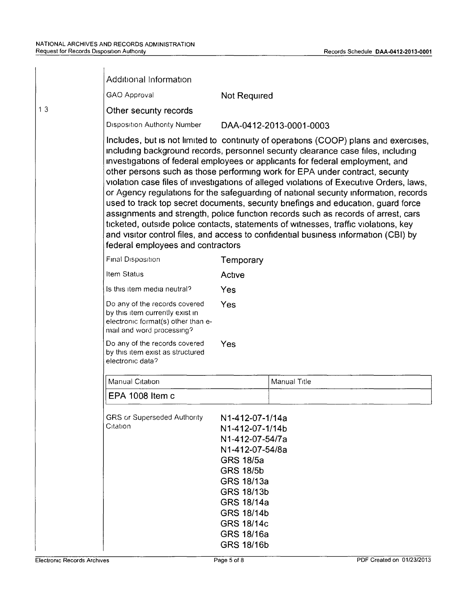|    | Additional Information                                                                                                                                                                                                                                                                                                                                                                                                                                                                                                                                                                                                                                                                                                                                                                                                                                                                                                    |                                                                                                                                                                                                                                         |                         |  |
|----|---------------------------------------------------------------------------------------------------------------------------------------------------------------------------------------------------------------------------------------------------------------------------------------------------------------------------------------------------------------------------------------------------------------------------------------------------------------------------------------------------------------------------------------------------------------------------------------------------------------------------------------------------------------------------------------------------------------------------------------------------------------------------------------------------------------------------------------------------------------------------------------------------------------------------|-----------------------------------------------------------------------------------------------------------------------------------------------------------------------------------------------------------------------------------------|-------------------------|--|
|    | GAO Approval                                                                                                                                                                                                                                                                                                                                                                                                                                                                                                                                                                                                                                                                                                                                                                                                                                                                                                              | Not Required                                                                                                                                                                                                                            |                         |  |
| 13 | Other security records                                                                                                                                                                                                                                                                                                                                                                                                                                                                                                                                                                                                                                                                                                                                                                                                                                                                                                    |                                                                                                                                                                                                                                         |                         |  |
|    | Disposition Authority Number                                                                                                                                                                                                                                                                                                                                                                                                                                                                                                                                                                                                                                                                                                                                                                                                                                                                                              |                                                                                                                                                                                                                                         | DAA-0412-2013-0001-0003 |  |
|    | Includes, but is not limited to continuity of operations (COOP) plans and exercises,<br>including background records, personnel security clearance case files, including<br>investigations of federal employees or applicants for federal employment, and<br>other persons such as those performing work for EPA under contract, security<br>violation case files of investigations of alleged violations of Executive Orders, laws,<br>or Agency regulations for the safeguarding of national security information, records<br>used to track top secret documents, security briefings and education, guard force<br>assignments and strength, police function records such as records of arrest, cars<br>ticketed, outside police contacts, statements of witnesses, traffic violations, key<br>and visitor control files, and access to confidential business information (CBI) by<br>federal employees and contractors |                                                                                                                                                                                                                                         |                         |  |
|    | Final Disposition                                                                                                                                                                                                                                                                                                                                                                                                                                                                                                                                                                                                                                                                                                                                                                                                                                                                                                         | Temporary                                                                                                                                                                                                                               |                         |  |
|    | Item Status                                                                                                                                                                                                                                                                                                                                                                                                                                                                                                                                                                                                                                                                                                                                                                                                                                                                                                               | Active                                                                                                                                                                                                                                  |                         |  |
|    | Is this item media neutral?                                                                                                                                                                                                                                                                                                                                                                                                                                                                                                                                                                                                                                                                                                                                                                                                                                                                                               | Yes                                                                                                                                                                                                                                     |                         |  |
|    | Do any of the records covered<br>by this item currently exist in<br>electronic format(s) other than e-<br>mail and word processing?                                                                                                                                                                                                                                                                                                                                                                                                                                                                                                                                                                                                                                                                                                                                                                                       | Yes                                                                                                                                                                                                                                     |                         |  |
|    | Do any of the records covered<br>by this item exist as structured<br>electronic data?                                                                                                                                                                                                                                                                                                                                                                                                                                                                                                                                                                                                                                                                                                                                                                                                                                     | Yes                                                                                                                                                                                                                                     |                         |  |
|    | <b>Manual Citation</b>                                                                                                                                                                                                                                                                                                                                                                                                                                                                                                                                                                                                                                                                                                                                                                                                                                                                                                    |                                                                                                                                                                                                                                         | Manual Title            |  |
|    | EPA 1008 Item c                                                                                                                                                                                                                                                                                                                                                                                                                                                                                                                                                                                                                                                                                                                                                                                                                                                                                                           |                                                                                                                                                                                                                                         |                         |  |
|    | <b>GRS or Superseded Authority</b><br>Citation                                                                                                                                                                                                                                                                                                                                                                                                                                                                                                                                                                                                                                                                                                                                                                                                                                                                            | N1-412-07-1/14a<br>N1-412-07-1/14b<br>N1-412-07-54/7a<br>N1-412-07-54/8a<br><b>GRS 18/5a</b><br><b>GRS 18/5b</b><br>GRS 18/13a<br>GRS 18/13b<br>GRS 18/14a<br><b>GRS 18/14b</b><br><b>GRS 18/14c</b><br>GRS 18/16a<br><b>GRS 18/16b</b> |                         |  |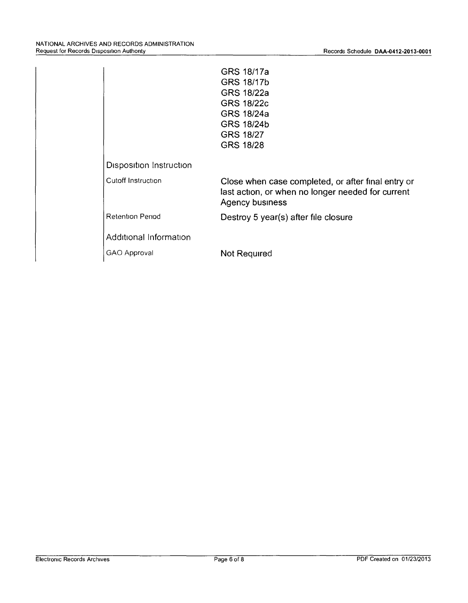|                         | GRS 18/17a                                                                                                                        |
|-------------------------|-----------------------------------------------------------------------------------------------------------------------------------|
|                         | GRS 18/17b                                                                                                                        |
|                         | GRS 18/22a                                                                                                                        |
|                         | GRS 18/22c                                                                                                                        |
|                         | GRS 18/24a                                                                                                                        |
|                         | GRS 18/24b                                                                                                                        |
|                         | <b>GRS 18/27</b>                                                                                                                  |
|                         | <b>GRS 18/28</b>                                                                                                                  |
| Disposition Instruction |                                                                                                                                   |
| Cutoff Instruction      | Close when case completed, or after final entry or<br>last action, or when no longer needed for current<br><b>Agency business</b> |
| <b>Retention Period</b> | Destroy 5 year(s) after file closure                                                                                              |
| Additional Information  |                                                                                                                                   |
| GAO Approval            | Not Required                                                                                                                      |